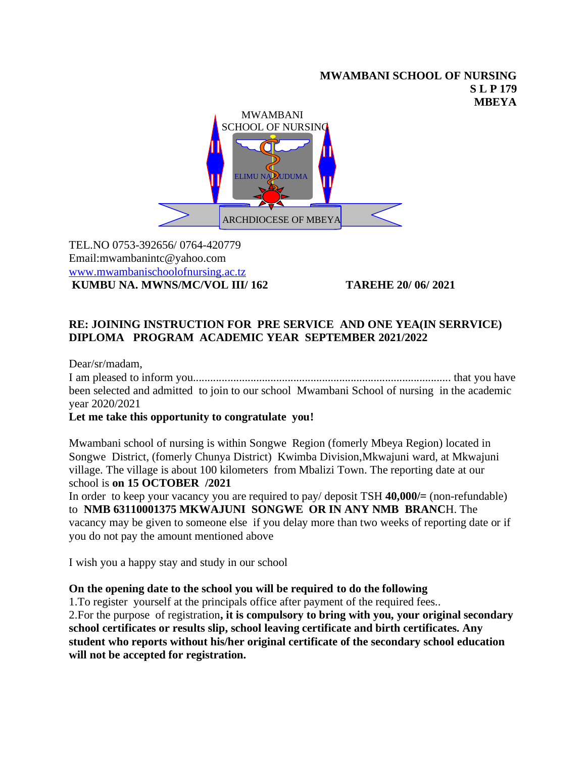#### **MWAMBANI SCHOOL OF NURSING S L P 179 MBEYA**



TEL.NO 0753-392656/ 0764-420779 Email:mwambanintc@yahoo.com [www.mwambanischoolofnursing.ac.tz](http://www.mwambanischoolofnursing.ac.tz/) **KUMBU NA. MWNS/MC/VOL III/ 162 TAREHE 20/ 06/ 2021**

# **RE: JOINING INSTRUCTION FOR PRE SERVICE AND ONE YEA(IN SERRVICE) DIPLOMA PROGRAM ACADEMIC YEAR SEPTEMBER 2021/2022**

Dear/sr/madam, I am pleased to inform you.......................................................................................... that you have been selected and admitted to join to our school Mwambani School of nursing in the academic year 2020/2021

## **Let me take this opportunity to congratulate you!**

Mwambani school of nursing is within Songwe Region (fomerly Mbeya Region) located in Songwe District, (fomerly Chunya District) Kwimba Division,Mkwajuni ward, at Mkwajuni village. The village is about 100 kilometers from Mbalizi Town. The reporting date at our school is **on 15 OCTOBER /2021**

In order to keep your vacancy you are required to pay/ deposit TSH **40,000/=** (non-refundable) to **NMB 63110001375 MKWAJUNI SONGWE OR IN ANY NMB BRANC**H. The vacancy may be given to someone else if you delay more than two weeks of reporting date or if you do not pay the amount mentioned above

I wish you a happy stay and study in our school

### **On the opening date to the school you will be required to do the following**

1.To register yourself at the principals office after payment of the required fees.. 2.For the purpose of registration**, it is compulsory to bring with you, your original secondary school certificates or results slip, school leaving certificate and birth certificates. Any student who reports without his/her original certificate of the secondary school education will not be accepted for registration.**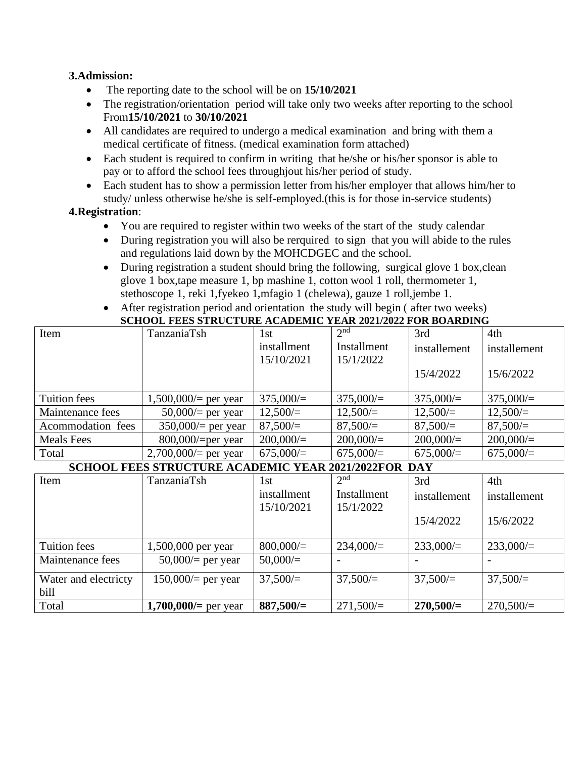#### **3.Admission:**

- The reporting date to the school will be on **15/10/2021**
- The registration/orientation period will take only two weeks after reporting to the school From**15/10/2021** to **30/10/2021**
- All candidates are required to undergo a medical examination and bring with them a medical certificate of fitness. (medical examination form attached)
- Each student is required to confirm in writing that he/she or his/her sponsor is able to pay or to afford the school fees throughjout his/her period of study.
- Each student has to show a permission letter from his/her employer that allows him/her to study/ unless otherwise he/she is self-employed.(this is for those in-service students)

### **4.Registration**:

- You are required to register within two weeks of the start of the study calendar
- During registration you will also be rerquired to sign that you will abide to the rules and regulations laid down by the MOHCDGEC and the school.
- During registration a student should bring the following, surgical glove 1 box, clean glove 1 box,tape measure 1, bp mashine 1, cotton wool 1 roll, thermometer 1, stethoscope 1, reki 1,fyekeo 1,mfagio 1 (chelewa), gauze 1 roll,jembe 1.
- After registration period and orientation the study will begin (after two weeks) **SCHOOL FEES STRUCTURE ACADEMIC YEAR 2021/2022 FOR BOARDING**

| Item              | TanzaniaTsh           | 1st         | 2 <sup>nd</sup> | 3rd          | 4th          |
|-------------------|-----------------------|-------------|-----------------|--------------|--------------|
|                   |                       | installment | Installment     | installement | installement |
|                   |                       | 15/10/2021  | 15/1/2022       |              |              |
|                   |                       |             |                 | 15/4/2022    | 15/6/2022    |
|                   |                       |             |                 |              |              |
| Tuition fees      | $1,500,000/$ per year | 375,000/    | 375,000/        | 375,000/     | 375,000/     |
| Maintenance fees  | $50,000/$ per year    | $12,500/=$  | $12,500/=$      | 12,500/      | $12,500/=$   |
| Acommodation fees | $350,000/$ per year   | 87,500/     | 87,500/         | 87,500/      | 87,500/      |
| <b>Meals</b> Fees | $800,000/$ =per year  | 200,000/    | 200,000/        | 200,000/     | 200,000/     |
| Total             | $2,700,000/$ per year | $675,000 =$ | $675,000 =$     | 675,000/     | 675,000/     |

### **SCHOOL FEES STRUCTURE ACADEMIC YEAR 2021/2022FOR DAY**

| Item                 | TanzaniaTsh             | 1st         | 2 <sup>nd</sup> | 3rd          | 4th          |
|----------------------|-------------------------|-------------|-----------------|--------------|--------------|
|                      |                         | installment | Installment     | installement | installement |
|                      |                         | 15/10/2021  | 15/1/2022       |              |              |
|                      |                         |             |                 | 15/4/2022    | 15/6/2022    |
|                      |                         |             |                 |              |              |
| <b>Tuition fees</b>  | 1,500,000 per year      | 800,000/    | 234,000/        | 233,000/     | $233,000/=$  |
| Maintenance fees     | $50,000/$ per year      | 50,000/     |                 |              |              |
| Water and electricty | $150,000/$ per year     | 37,500/     | 37,500/         | 37,500/      | 37,500/      |
| bill                 |                         |             |                 |              |              |
| Total                | 1,700,000/ $=$ per year | $887,500/=$ | 271,500/        | $270,500/=$  | 270,500/     |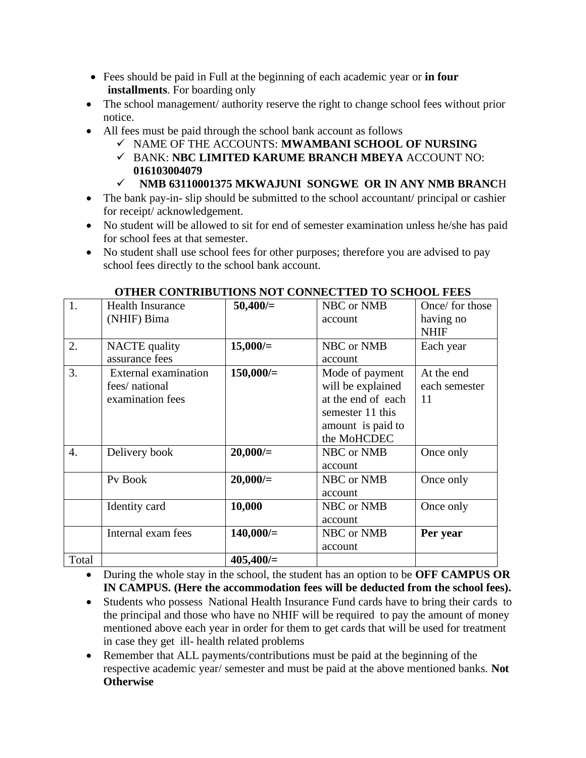- Fees should be paid in Full at the beginning of each academic year or **in four installments**. For boarding only
- The school management/ authority reserve the right to change school fees without prior notice.
- All fees must be paid through the school bank account as follows
	- ✓ NAME OF THE ACCOUNTS: **MWAMBANI SCHOOL OF NURSING**
	- ✓ BANK: **NBC LIMITED KARUME BRANCH MBEYA** ACCOUNT NO: **016103004079**
	- ✓ **NMB 63110001375 MKWAJUNI SONGWE OR IN ANY NMB BRANC**H
- The bank pay-in-slip should be submitted to the school accountant/ principal or cashier for receipt/ acknowledgement.
- No student will be allowed to sit for end of semester examination unless he/she has paid for school fees at that semester.
- No student shall use school fees for other purposes; therefore you are advised to pay school fees directly to the school bank account.

| 1.    | <b>Health Insurance</b>     | 50,400/     | NBC or NMB         | Once/ for those |  |  |  |  |
|-------|-----------------------------|-------------|--------------------|-----------------|--|--|--|--|
|       | (NHIF) Bima                 |             | account            | having no       |  |  |  |  |
|       |                             |             |                    | <b>NHIF</b>     |  |  |  |  |
| 2.    | <b>NACTE</b> quality        | $15,000/=$  | NBC or NMB         | Each year       |  |  |  |  |
|       | assurance fees              |             | account            |                 |  |  |  |  |
| 3.    | <b>External examination</b> | $150,000/=$ | Mode of payment    | At the end      |  |  |  |  |
|       | fees/ national              |             | will be explained  | each semester   |  |  |  |  |
|       | examination fees            |             | at the end of each | 11              |  |  |  |  |
|       |                             |             | semester 11 this   |                 |  |  |  |  |
|       |                             |             | amount is paid to  |                 |  |  |  |  |
|       |                             |             | the MoHCDEC        |                 |  |  |  |  |
| 4.    | Delivery book               | 20,000/     | NBC or NMB         | Once only       |  |  |  |  |
|       |                             |             | account            |                 |  |  |  |  |
|       | Pv Book                     | 20,000/     | NBC or NMB         | Once only       |  |  |  |  |
|       |                             |             | account            |                 |  |  |  |  |
|       | Identity card               | 10,000      | NBC or NMB         | Once only       |  |  |  |  |
|       |                             |             | account            |                 |  |  |  |  |
|       | Internal exam fees          | 140,000/    | NBC or NMB         | Per year        |  |  |  |  |
|       |                             |             | account            |                 |  |  |  |  |
| Total |                             | 405,400/    |                    |                 |  |  |  |  |

### **OTHER CONTRIBUTIONS NOT CONNECTTED TO SCHOOL FEES**

• During the whole stay in the school, the student has an option to be **OFF CAMPUS OR IN CAMPUS. (Here the accommodation fees will be deducted from the school fees).**

- Students who possess National Health Insurance Fund cards have to bring their cards to the principal and those who have no NHIF will be required to pay the amount of money mentioned above each year in order for them to get cards that will be used for treatment in case they get ill- health related problems
- Remember that ALL payments/contributions must be paid at the beginning of the respective academic year/ semester and must be paid at the above mentioned banks. **Not Otherwise**